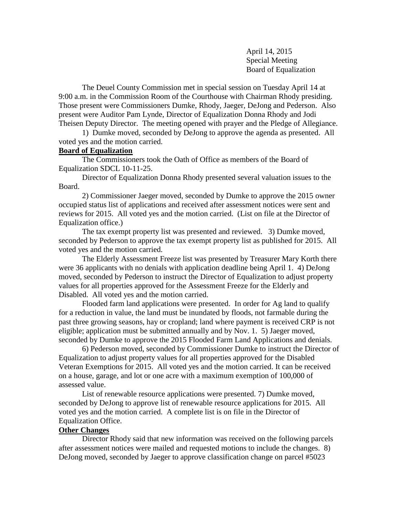April 14, 2015 Special Meeting Board of Equalization

The Deuel County Commission met in special session on Tuesday April 14 at 9:00 a.m. in the Commission Room of the Courthouse with Chairman Rhody presiding. Those present were Commissioners Dumke, Rhody, Jaeger, DeJong and Pederson. Also present were Auditor Pam Lynde, Director of Equalization Donna Rhody and Jodi Theisen Deputy Director. The meeting opened with prayer and the Pledge of Allegiance.

1) Dumke moved, seconded by DeJong to approve the agenda as presented. All voted yes and the motion carried.

## **Board of Equalization**

The Commissioners took the Oath of Office as members of the Board of Equalization SDCL 10-11-25.

Director of Equalization Donna Rhody presented several valuation issues to the Board.

2) Commissioner Jaeger moved, seconded by Dumke to approve the 2015 owner occupied status list of applications and received after assessment notices were sent and reviews for 2015. All voted yes and the motion carried. (List on file at the Director of Equalization office.)

The tax exempt property list was presented and reviewed. 3) Dumke moved, seconded by Pederson to approve the tax exempt property list as published for 2015. All voted yes and the motion carried.

The Elderly Assessment Freeze list was presented by Treasurer Mary Korth there were 36 applicants with no denials with application deadline being April 1. 4) DeJong moved, seconded by Pederson to instruct the Director of Equalization to adjust property values for all properties approved for the Assessment Freeze for the Elderly and Disabled. All voted yes and the motion carried.

Flooded farm land applications were presented. In order for Ag land to qualify for a reduction in value, the land must be inundated by floods, not farmable during the past three growing seasons, hay or cropland; land where payment is received CRP is not eligible; application must be submitted annually and by Nov. 1. 5) Jaeger moved, seconded by Dumke to approve the 2015 Flooded Farm Land Applications and denials.

6) Pederson moved, seconded by Commissioner Dumke to instruct the Director of Equalization to adjust property values for all properties approved for the Disabled Veteran Exemptions for 2015. All voted yes and the motion carried. It can be received on a house, garage, and lot or one acre with a maximum exemption of 100,000 of assessed value.

List of renewable resource applications were presented. 7) Dumke moved, seconded by DeJong to approve list of renewable resource applications for 2015. All voted yes and the motion carried. A complete list is on file in the Director of Equalization Office.

## **Other Changes**

Director Rhody said that new information was received on the following parcels after assessment notices were mailed and requested motions to include the changes. 8) DeJong moved, seconded by Jaeger to approve classification change on parcel #5023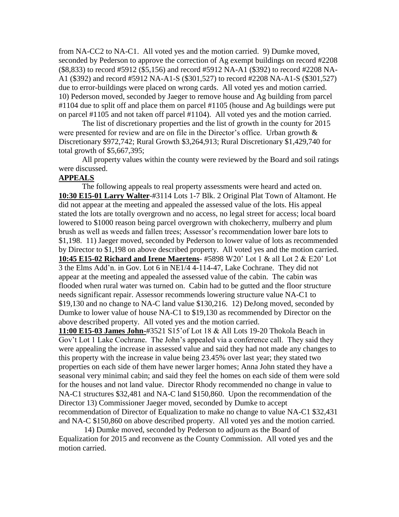from NA-CC2 to NA-C1. All voted yes and the motion carried. 9) Dumke moved, seconded by Pederson to approve the correction of Ag exempt buildings on record #2208 (\$8,833) to record #5912 (\$5,156) and record #5912 NA-A1 (\$392) to record #2208 NA-A1 (\$392) and record #5912 NA-A1-S (\$301,527) to record #2208 NA-A1-S (\$301,527) due to error-buildings were placed on wrong cards. All voted yes and motion carried. 10) Pederson moved, seconded by Jaeger to remove house and Ag building from parcel #1104 due to split off and place them on parcel #1105 (house and Ag buildings were put on parcel #1105 and not taken off parcel #1104). All voted yes and the motion carried.

The list of discretionary properties and the list of growth in the county for 2015 were presented for review and are on file in the Director's office. Urban growth  $\&$ Discretionary \$972,742; Rural Growth \$3,264,913; Rural Discretionary \$1,429,740 for total growth of \$5,667,395;

All property values within the county were reviewed by the Board and soil ratings were discussed.

## **APPEALS**

The following appeals to real property assessments were heard and acted on. **10:30 E15-01 Larry Walter**-#3114 Lots 1-7 Blk. 2 Original Plat Town of Altamont. He did not appear at the meeting and appealed the assessed value of the lots. His appeal stated the lots are totally overgrown and no access, no legal street for access; local board lowered to \$1000 reason being parcel overgrown with chokecherry, mulberry and plum brush as well as weeds and fallen trees; Assessor's recommendation lower bare lots to \$1,198. 11) Jaeger moved, seconded by Pederson to lower value of lots as recommended by Director to \$1,198 on above described property. All voted yes and the motion carried. **10:45 E15-02 Richard and Irene Maertens**- #5898 W20' Lot 1 & all Lot 2 & E20' Lot 3 the Elms Add'n. in Gov. Lot 6 in NE1/4 4-114-47, Lake Cochrane. They did not appear at the meeting and appealed the assessed value of the cabin. The cabin was flooded when rural water was turned on. Cabin had to be gutted and the floor structure needs significant repair. Assessor recommends lowering structure value NA-C1 to \$19,130 and no change to NA-C land value \$130,216. 12) DeJong moved, seconded by Dumke to lower value of house NA-C1 to \$19,130 as recommended by Director on the above described property. All voted yes and the motion carried.

**11:00 E15-03 James John-**#3521 S15'of Lot 18 & All Lots 19-20 Thokola Beach in Gov't Lot 1 Lake Cochrane. The John's appealed via a conference call. They said they were appealing the increase in assessed value and said they had not made any changes to this property with the increase in value being 23.45% over last year; they stated two properties on each side of them have newer larger homes; Anna John stated they have a seasonal very minimal cabin; and said they feel the homes on each side of them were sold for the houses and not land value. Director Rhody recommended no change in value to NA-C1 structures \$32,481 and NA-C land \$150,860. Upon the recommendation of the Director 13) Commissioner Jaeger moved, seconded by Dumke to accept recommendation of Director of Equalization to make no change to value NA-C1 \$32,431 and NA-C \$150,860 on above described property. All voted yes and the motion carried.

14) Dumke moved, seconded by Pederson to adjourn as the Board of Equalization for 2015 and reconvene as the County Commission. All voted yes and the motion carried.